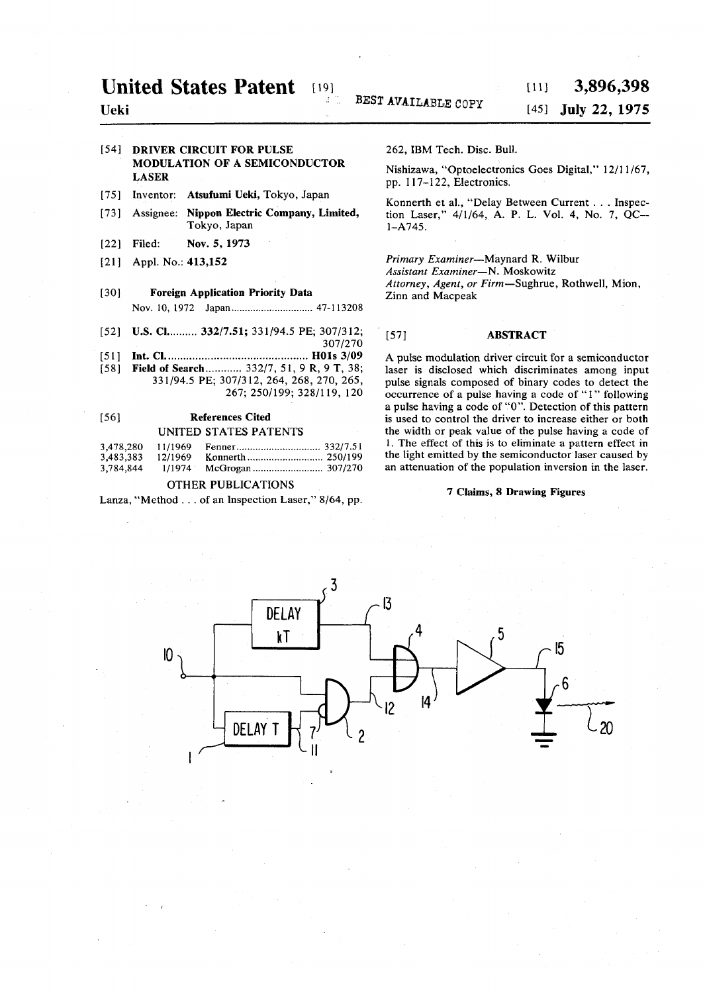# **[54] DRIVER CIRCUIT FOR PULSE MODULATION OF A SEMICONDUCTOR LASER**

- [75] Inventor: **Atsufumi Ueki,** Tokyo, Japan
- [73] Assignee: **Nippon Electric Company, Limited,**  Tokyo, Japan
- **[22]** Filed: **Nov.** 5, 1973
- [21] Appl. No.: 413,152

# **[30] Foreign Application Priority Data**

Nov. 10, 1972 Japan 47-113208

- [52] **U.S. Cl.** 332/7.51; 331/94.5 PE; 307/312;
- **307/270 [51 ] Int. CI HOls 3/09**  [58] **Field of Search ...........** 332/7, 51, 9 R, 9 T, 38; **331/94.5 PE; 307/312, 264, 268, 270, 265, 267; 250/199; 328/119, 120**

# **[56] References Cited**  UNITED STATES PATENTS

| 3,478.280 | 11/1969 |  |
|-----------|---------|--|
| 3,483,383 | 12/1969 |  |
| 3,784,844 | 1/1974  |  |

## OTHER PUBLICATIONS

Lanza, "Method .. . of an Inspection Laser," **8/64,** pp.

**262,** IBM Tech. Disc. Bull.

Nishizawa, "Optoelectronics Goes Digital," **12/11/67,**  pp. **117-122,** Electronics.

Konnerth et al., "Delay Between Current . . . Inspection Laser," **4/1/64, A. P.** L. Vol. **4,** No. **7,** QC - **1-A745.** 

*Primary Examiner*—Maynard R. Wilbur *Assistant Examiner*—N. Moskowitz *Attorney, Agent, or Firm—*Sughrue, Rothwell, Mion, Zinn and Macpeak

## **[57] ABSTRACT**

A pulse modulation driver circuit for a semiconductor laser is disclosed which discriminates among input pulse signals composed of binary codes to detect the occurrence of a pulse having a code of "1" following a pulse having a code of "0". Detection of this pattern is used to control the driver to increase either or both the width or peak value of the pulse having a code of 1. The effect of this is to eliminate a pattern effect in the light emitted by the semiconductor laser caused by an attenuation of the population inversion in the laser.

### **7 Claims, 8 Drawing Figures**

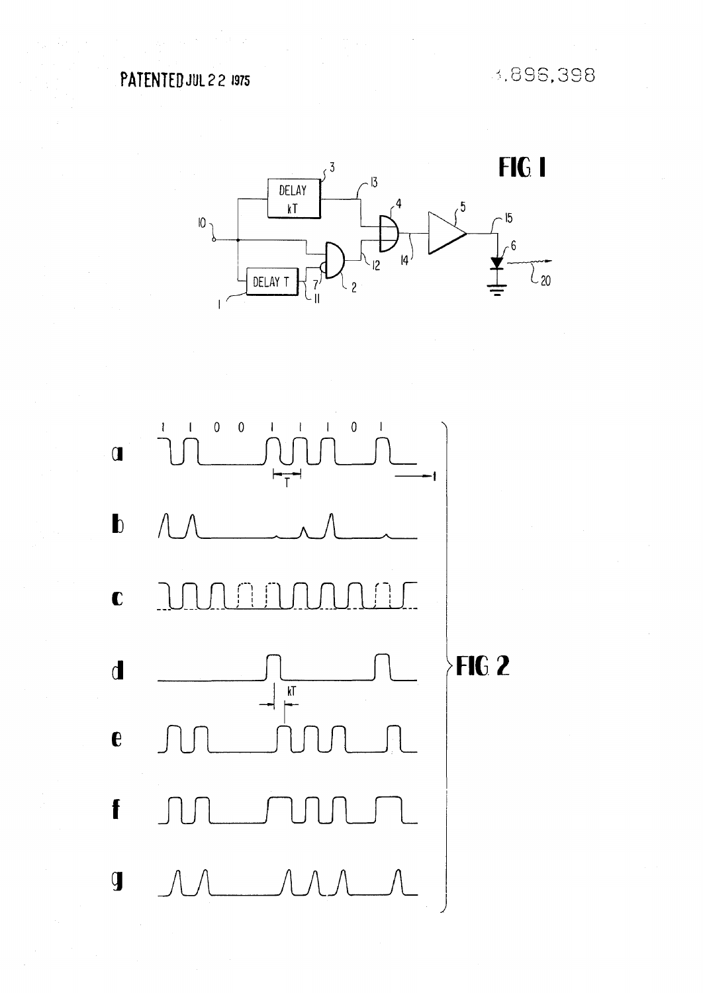3,896,398



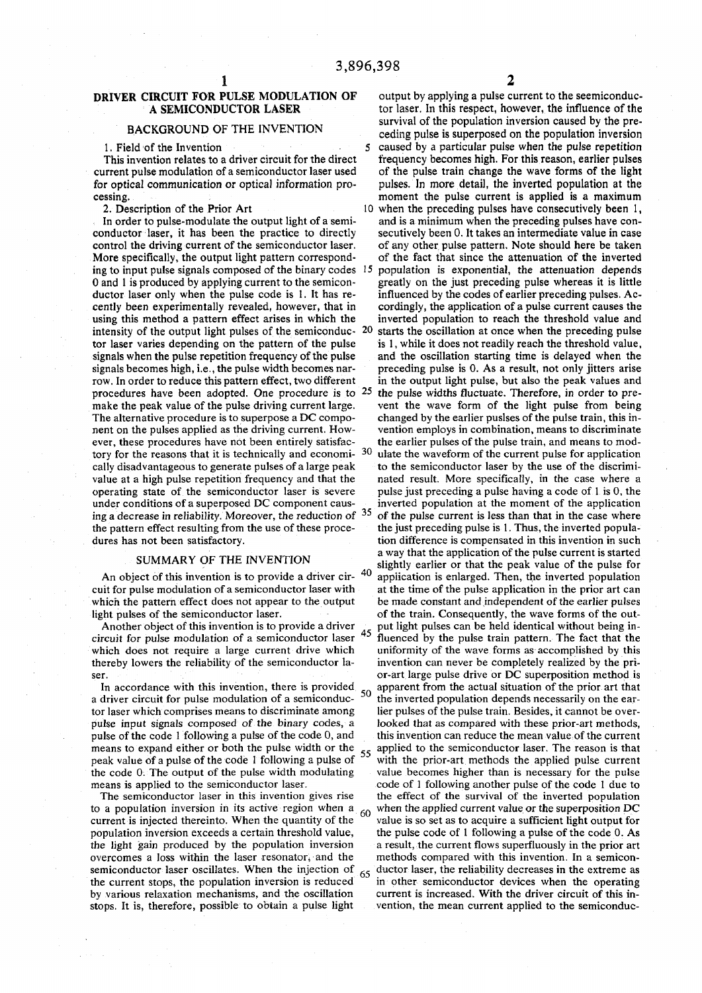This invention relates to a driver circuit for the direct current pulse modulation of a semiconductor laser used for optical communication or optical information pro-

ing to input pulse signals composed of the binary codes  $15$  0 and 1 is produced by applying current to the semiconintensity of the output light pulses of the semiconduc-  $20$ signals becomes high, i.e., the pulse width becomes nar-<br>row. In order to reduce this pattern effect, two different procedures have been adopted. One procedure is to  $25$ cally disadvantageous to generate pulses of a large peak

thereby lowers the reliability of the semiconductor la-

In accordance with this invention, there is provided  $_{50}$ pulse of the code 1 following a pulse of the code 0, and

population inversion exceeds a certain threshold value, the light gain produced by the population inversion overcomes a loss within the laser resonator, and the semiconductor laser oscillates. When the injection of the current stops, the population inversion is reduced

DRIVER CIRCUIT FOR PULSE MODULATION OF output by applying a pulse current to the seemiconduc-A SEMICONDUCTOR LASER tor laser. In this respect, however, the influence of the survival of the population inversion caused by the pre-<br>BACKGROUND OF THE INVENTION BACKGROUND OF THE INVENTION ceding pulse is superposed on the population inversion<br>1. Field of the Invention 5 caused by a particular pulse when the pulse repetition caused by a particular pulse when the pulse repetition frequency becomes high. For this reason, earlier pulses of the pulse train change the wave forms of the light pulses. In more detail, the inverted population at the cessing.<br>
2. Description of the Prior Art 10 when the preceding pulses have consecutively been 1, when the preceding pulses have consecutively been 1, In order to pulse-modulate the output light of a semi- and is a minimum when the preceding pulses have conconductor laser, it has been the practice to directly secutively been 0. It takes an intermediate value in case control the driving current of the semiconductor laser. of any other pulse pattern. Note should here be taken control the driving current of the semiconductor laser. of any other pulse pattern. Note should here be taken<br>More specifically, the output light pattern correspond-of the fact that since the attenuation of the inverted of the fact that since the attenuation of the inverted population is exponential, the attenuation depends greatly on the just preceding pulse whereas it is little ductor laser only when the pulse code is 1. It has re- influenced by the codes of earlier preceding pulses. Accently been experimentally revealed, however, that in cordingly, the application of a pulse current causes the using this method a pattern effect arises in which the inverted population to reach the threshold value and intensity of the output light pulses of the semiconduc- 20 starts the oscillation at once when the preceding pulse tor laser varies depending on the pattern of the pulse is 1, while it does not readily reach the threshold value, signals when the pulse repetition frequency of the pulse and the oscillation starting time is delayed when the signals becomes high, i.e., the pulse width becomes nar-<br>preceding pulse is 0. As a result, not only jitters ar in the output light pulse, but also the peak values and the pulse widths fluctuate. Therefore, in order to premake the peak value of the pulse driving current large. vent the wave form of the light pulse from being<br>The alternative procedure is to superpose a DC compo-<br>changed by the earlier pulses of the pulse train, this in-The alternative procedure is to superpose a DC compo-<br>nent on the pulses applied as the driving current. How-<br>vention employs in combination, means to discriminate vention employs in combination, means to discriminate. ever, these procedures have not been entirely satisfac-<br>tore for earlier pulses of the pulse train, and means to mod-<br>tory for the reasons that it is technically and economi-  $30$  ulate the waveform of the current pulse f tory for the reasons that it is technically and economi-  $30$  ulate the waveform of the current pulse for application cally disadvantageous to generate pulses of a large peak to the semiconductor laser by the use of the d value at a high pulse repetition frequency and that the nated result. More specifically, in the case where a operating state of the semiconductor laser is severe pulse just preceding a pulse having a code of 1 is 0, the under conditions of a superposed DC component caus-<br>inverted population at the moment of the application inverted population at the moment of the application ing a decrease in reliability. Moreover, the reduction of  $35$  of the pulse current is less than that in the case where the pattern effect resulting from the use of these proce-<br>dures has not been satisfactory.<br>tion difference is compensated in this invention in such tion difference is compensated in this invention in such SUMMARY OF THE INVENTION<br>
a way that the application of the pulse current is started<br>
clickly ordinary or that the pool value of the pulse for SUMMARY OF THE INVENTION slightly earlier or that the peak value of the pulse for An object of this invention is to provide a driver cir-  $\frac{40}{\text{application}}$  is enlarged. Then, the inverted population An object of this invention is to provide a driver cir- <sup>40</sup> application is enlarged. Then, the inverted population cuit for pulse modulation of a semiconductor laser with at the time of the pulse application in the prior at the time of the pulse application in the prior art can which the pattern effect does not appear to the output be made constant and independent of the earlier pulses light pulses of the semiconductor laser. of the train. Consequently, the wave forms of the out-<br>Another object of this invention is to provide a driver  $\frac{1}{\sqrt{2}}$  put light pulses can be held identical without being in-Another object of this invention is to provide a driver  $\frac{1}{45}$  put light pulses can be held identical without being in-<br>circuit for pulse modulation of a semiconductor laser  $\frac{45}{45}$  fluenced by the pulse train pat fluenced by the pulse train pattern. The fact that the uniformity of the wave forms as accomplished by this which does not require a large current drive which uniformity of the wave forms as accomplished by this thereby lowers the reliability of the semiconductor la-<br>invention can never be completely realized by the priser.<br>In accordance with this invention, there is provided  $\epsilon_0$  apparent from the actual situation of the prior art that a driver circuit for pulse modulation of a semiconduc- <sup>50</sup> the inverted population depends necessarily on the eartor laser which comprises means to discriminate among lier pulses of the pulse train. Besides, it cannot be over-<br>pulse input signals composed of the binary codes, a looked that as compared with these prior-art methods, looked that as compared with these prior-art methods, this invention can reduce the mean value of the current means to expand either or both the pulse width or the <sub>55</sub> applied to the semiconductor laser. The reason is that peak value of a pulse of the code 1 following a pulse of  $\sim$  with the prior-art methods the applied pulse current the code 0. The output of the pulse width modulating value becomes higher than is necessary for the pulse means is applied to the semiconductor laser. code of 1 following another pulse of the code 1 due to eans is applied to the semiconductor laser.<br>The semiconductor laser in this invention gives rise the effect of the survival of the inverted population The semiconductor laser in this invention gives rise the effect of the survival of the inverted population to a population inversion in its active region when  $a_{\text{eq}}$  when the applied current value or the superposition to a population inversion in its active region when  $a_{60}$  when the applied current value or the superposition DC current is injected thereinto. When the quantity of the value is so set as to acquire a sufficient light o value is so set as to acquire a sufficient light output for the pulse code of 1 following a pulse of the code  $0$ . As a result, the current flows superfluously in the prior art methods compared with this invention. In a semicon- $65$  ductor laser, the reliability decreases in the extreme as in other semiconductor devices when the operating by various relaxation mechanisms, and the oscillation current is increased. With the driver circuit of this instops. It is, therefore, possible to obtain a pulse light vention, the mean current applied to the semiconduc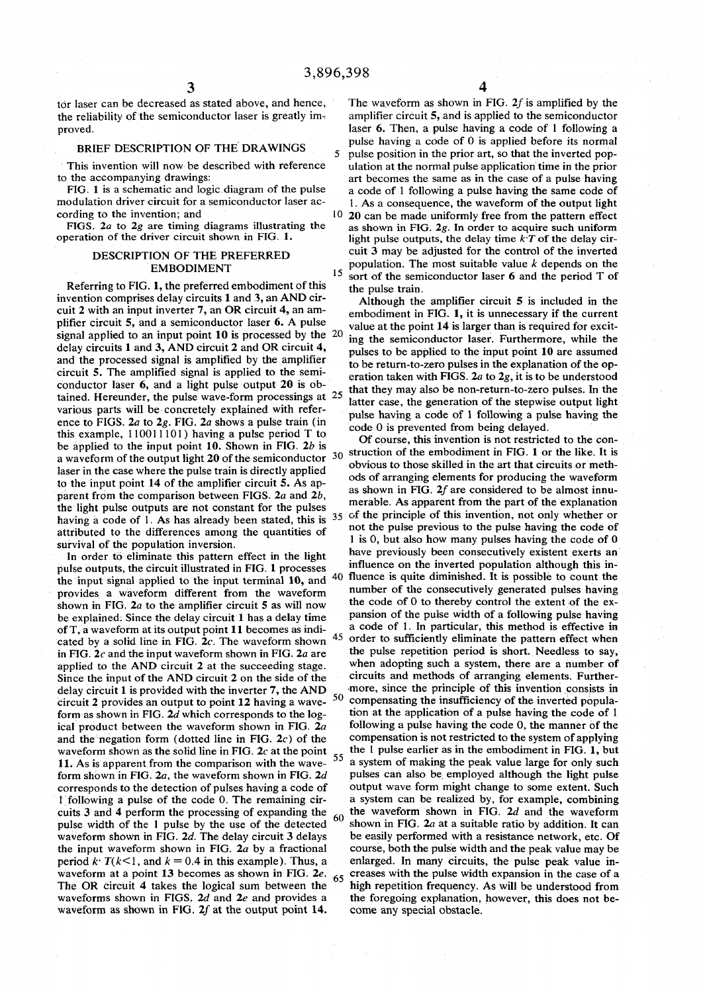1 5

proved. **laser 6. Then, a pulse having a code of 1 following a** pulse having a code of 1 following a

### BRIEF DESCRIPTION OF THE DRAWINGS

FIGS. 2a to 2g are timing diagrams illustrating the operation of the driver circuit shown in FIG. 1.

Referring to FIG. 1, the preferred embodiment of this invention comprises delay circuits 1 and 3, an AND cirinvention comprises delay circuits 1 and 3, an AND cir-<br>cuit 2 with an input inverter 7, an OR circuit 4, an am-<br>embodiment in FIG 1, it is unnecessary if the current plifier circuit 5, and a semiconductor laser 6. A pulse signal applied to an input point 10 is processed by the  $20$ signal applied to an input point 10 is processed by the <sup>20</sup> jng the semiconductor laser. Furthermore, while the delay circuit 1 and 3, AND circuit 2 and OR circuit 4, while see applied to the input point 10 are assumed. delay circuits 1 and 3, AND circuit 2 and OR circuit 4, pulses to be applied to the input point 10 are assumed<br>and the processed signal is amplified by the amplifier to be return to zero pulses in the explanation of the o and the processed signal is amplified by the amplifiert to be return-to-zero pulses in the explanation of the op-<br>circuit 5. The amplified signal is applied to the semi-<br>exploration taken with FIGS 2a to 2a it is to be un circuit 5. The amplified signal is applied to the semi-<br>conductor laser 6, and a light pulse output 20 is ob-<br>that they may also be non return to zero pulses. In the conductor laser 6, and a light pulse output 20 is  $00-$ <br>tained. Hereunder, the pulse wave-form processings at  $25$  hatter case the conception of the standing output light various parts will be concretely explained with reference to FIGS.  $2a$  to  $2g$ . FIG.  $2a$  shows a pulse train (in this example,  $110011101$ ) having a pulse period T to observe this invention is not restricted to the conbe applied to the input point 10. Shown in FIG. *2b* is . .. . .. . ^ . , .. ... .. . laser in the case where the pulse train is directly applied parent from the comparison between FIGS. 2*a* and 2*b*, the light pulse outputs are not constant for the pulses attributed to the differences among the quantities of survival of the population inversion.

In order to eliminate this pattern effect in the light pulse outputs, the circuit illustrated in FIG. 1 processes the input signal applied to the input terminal  $10$ , and  $40$ provides a waveform different from the waveform shown in FIG. *2a* to the amplifier circuit 5 as will now be explained: Since the delay circuit 1 has a delay time pansion of the pulse width of a following pulse having of T, a waveform at its output point  $11$  becomes as indicated by a solid line in FIG. 2c. The waveform shown in FIG. *2c* and the input waveform shown in FIG. 2*a* are applied to the AND circuit 2 at the succeeding stage. when adopting such a system, there are a number of Since the input of the AND circuit 2 on the side of the circuits and methods of arranging elements. Further-Since the input of the AND circuit 2 on the side of the circuits and methods of arranging elements. Further-<br>delay circuit 1 is provided with the inverter  $7.$  the AND more, since the principle of this invention consists delay circuit 1 is provided with the inverter  $7$ , the AND  $circuit 2$  provides an output to point  $12$  having a wave-50 form as shown in FIG. 2*d* which corresponds to the log-<br>
ical product between the waveform shown in FIG. 2*a* following a pulse having the code 0, the manner of the ical product between the waveform shown in FIG.  $2a$  following a pulse having the code 0, the manner of the and the negation form (dotted line in FIG.  $2c$ ) of the compensation is not restricted to the system of applying and the negation form (dotted line in FIG.  $2c$ ) of the waveform shown as the solid line in FIG. 2c at the point  $\frac{1}{5}$  the 1 pulse earlier as in the embodiment in FIG. 1, but 11. As is apparent from the comparison with the wave-11. As is apparent from the comparison with the wave- form shown in FIG.  $2a$ , the waveform shown in FIG.  $2d$ corresponds to the detection of pulses having a code of output wave form might change to some extent. Such I following a pulse of the code 0. The remaining cir-<br>I following a pulse of the code 0. The remaining cir-<br>a syste 1 following a pulse of the code 0. The remaining cir-<br>cuits 3 and 4 perform the processing of expanding the  $\epsilon_0$  the waveform shown in FIG. 2d and the waveform cuits 3 and 4 perform the processing of expanding the  $60$  the waveform shown in FIG. 2d and the waveform pulse width of the 1 pulse by the use of the detected  $60$  shown in FIG. 2a at a suitable ratio by addition. It can pulse width of the 1 pulse by the use of the detected waveform shown in FIG. 2d. The delay circuit 3 delays be easily performed with a resistance network, etc. Of the input waveform shown in FIG. 2*a* by a fractional course, both the pulse width and the peak value may be period  $k \cdot T(k<1)$ , and  $k = 0.4$  in this example). Thus, a enlarged. In many circuits, the pulse peak value inwaveform at a point 13 becomes as shown in FIG. 2e. <sup>65</sup> creases with the pulse width expansion in the case of a The OR circuit 4 takes the logical sum between the  $\frac{3}{10}$  high repetition frequency. As will be understood from waveforms shown in FIGS. 2d and 2e and provides a the foregoing explanation, however, this does not bewaveform as shown in FIG.  $2f$  at the output point 14. come any special obstacle.

tor laser can be decreased as stated above, and hence, The waveform as shown in FIG.  $2f$  is amplified by the the reliability of the semiconductor laser is greatly im-<br>amplifier circuit 5, and is applied to the semiconduc amplifier circuit 5, and is applied to the semiconductor pulse having a code of  $0$  is applied before its normal 5 pulse position in the prior art, so that the inverted pop-This invention will now be described with reference ulation at the normal pulse application time in the prior<br>to the accompanying drawings:<br>and the comes the same as in the case of a pulse having to the accompanying drawings:<br>FIG. 1 is a schematic and logic diagram of the pulse a code of 1 following a pulse having the same code of FIG. 1 is a schematic and logic diagram of the pulse a code of 1 following a pulse having the same code of modulation driver circuit for a semiconductor laser ac-<br>1. As a consequence, the waveform of the output light modulation driver circuit for a semiconductor laser  $ac - 1$ . As a consequence, the waveform of the output light cording to the invention; and  $10\,20$  can be made uniformly free from the nattern effect  $10$  20 can be made uniformly free from the pattern effect as shown in FIG.  $2g$ . In order to acquire such uniform light pulse outputs, the delay time  $k \dot{T}$  of the delay cir-DESCRIPTION OF THE PREFERRED cuit 3 may be adjusted for the control of the inverted EMBODIMENT  $\begin{bmatrix} 16 & 0 \\ 0 & 15 \end{bmatrix}$  population. The most suitable value *k* depends on the sort of the semiconductor laser  $6$  and the period  $T$  of the pulse train.

> embodiment in FIG. 1, it is unnecessary if the current value at the point 14 is larger than is required for excitlatter case, the generation of the stepwise output light pulse having a code of 1 following a pulse having the code 0 is prevented from being delayed.

a waveform of the output light 20 of the semiconductor  $\frac{30}{9}$  struction of the embodiment in FIG. 1 or the like. It is obvious to those skilled in the art that circuits or methods of arranging elements for producing the waveform to the input point 14 of the amplifier circuit 5. As ap-<br>s shown in FIG 2f are considered to be almost input as shown in FIG.  $2f$  are considered to be almost innu<sup>m</sup> / r able 'rabic. As apparent from the part of the explanation having a code of 1. As has already been stated, this is  $35 \times 10^6$  the principle of the principle of the principle of the r order of the r order of the r order order order than  $\frac{1}{2}$  $\alpha$ , but also how many pulses having the compact of  $\alpha$ . lus to the pulse having the code have previously been consecutively existent exerts an influence on the inverted population although this in- $\frac{1}{2}$  40 muence is quite number of the consecutively generated pulses having the code of  $\sigma$  to thereby control the extent of the exa code of 1. In particular, this method is effective in a code of 1. In particular, this method is effective in  $^{45}$  order to sufficiently eliminate the pattern effect when the pulse repetition period is short. Needless to say, compensating the insufficiency of the inverted population at the application of a pulse having the code of 1 pulses can also be employed although the light pulse output wave form might change to some extent. Such the foregoing explanation, however, this does not be-